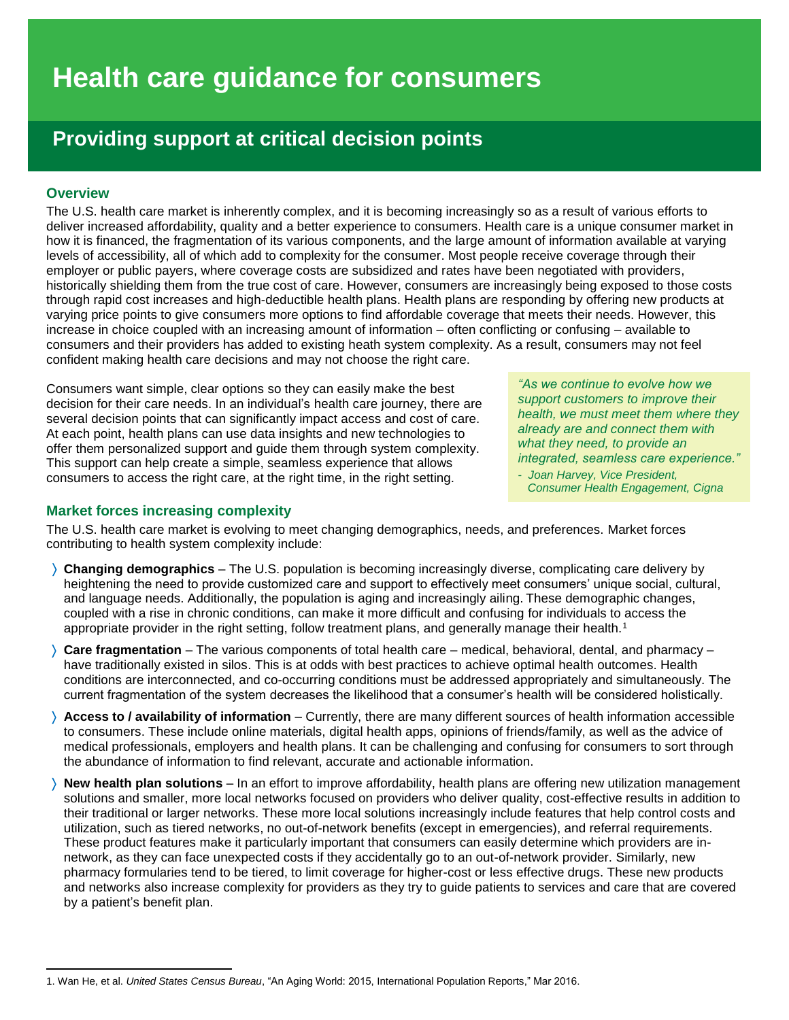# **Health care guidance for consumers**

# **Providing support at critical decision points**

## **Overview**

 $\overline{a}$ 

The U.S. health care market is inherently complex, and it is becoming increasingly so as a result of various efforts to deliver increased affordability, quality and a better experience to consumers. Health care is a unique consumer market in how it is financed, the fragmentation of its various components, and the large amount of information available at varying levels of accessibility, all of which add to complexity for the consumer. Most people receive coverage through their employer or public payers, where coverage costs are subsidized and rates have been negotiated with providers, historically shielding them from the true cost of care. However, consumers are increasingly being exposed to those costs through rapid cost increases and high-deductible health plans. Health plans are responding by offering new products at varying price points to give consumers more options to find affordable coverage that meets their needs. However, this increase in choice coupled with an increasing amount of information – often conflicting or confusing – available to consumers and their providers has added to existing heath system complexity. As a result, consumers may not feel confident making health care decisions and may not choose the right care.

Consumers want simple, clear options so they can easily make the best decision for their care needs. In an individual's health care journey, there are several decision points that can significantly impact access and cost of care. At each point, health plans can use data insights and new technologies to offer them personalized support and guide them through system complexity. This support can help create a simple, seamless experience that allows consumers to access the right care, at the right time, in the right setting.

# **Market forces increasing complexity**

*"As we continue to evolve how we support customers to improve their health, we must meet them where they already are and connect them with what they need, to provide an integrated, seamless care experience." - Joan Harvey, Vice President,* 

 *Consumer Health Engagement, Cigna*

The U.S. health care market is evolving to meet changing demographics, needs, and preferences. Market forces contributing to health system complexity include:

- **Changing demographics**  The U.S. population is becoming increasingly diverse, complicating care delivery by heightening the need to provide customized care and support to effectively meet consumers' unique social, cultural, and language needs. Additionally, the population is aging and increasingly ailing. These demographic changes, coupled with a rise in chronic conditions, can make it more difficult and confusing for individuals to access the appropriate provider in the right setting, follow treatment plans, and generally manage their health.<sup>1</sup>
- **Care fragmentation** The various components of total health care medical, behavioral, dental, and pharmacy have traditionally existed in silos. This is at odds with best practices to achieve optimal health outcomes. Health conditions are interconnected, and co-occurring conditions must be addressed appropriately and simultaneously. The current fragmentation of the system decreases the likelihood that a consumer's health will be considered holistically.
- **Access to / availability of information** Currently, there are many different sources of health information accessible to consumers. These include online materials, digital health apps, opinions of friends/family, as well as the advice of medical professionals, employers and health plans. It can be challenging and confusing for consumers to sort through the abundance of information to find relevant, accurate and actionable information.
- **New health plan solutions** In an effort to improve affordability, health plans are offering new utilization management solutions and smaller, more local networks focused on providers who deliver quality, cost-effective results in addition to their traditional or larger networks. These more local solutions increasingly include features that help control costs and utilization, such as tiered networks, no out-of-network benefits (except in emergencies), and referral requirements. These product features make it particularly important that consumers can easily determine which providers are innetwork, as they can face unexpected costs if they accidentally go to an out-of-network provider. Similarly, new pharmacy formularies tend to be tiered, to limit coverage for higher-cost or less effective drugs. These new products and networks also increase complexity for providers as they try to guide patients to services and care that are covered by a patient's benefit plan.

<sup>1.</sup> Wan He, et al. *United States Census Bureau*, "An Aging World: 2015, International Population Reports," Mar 2016.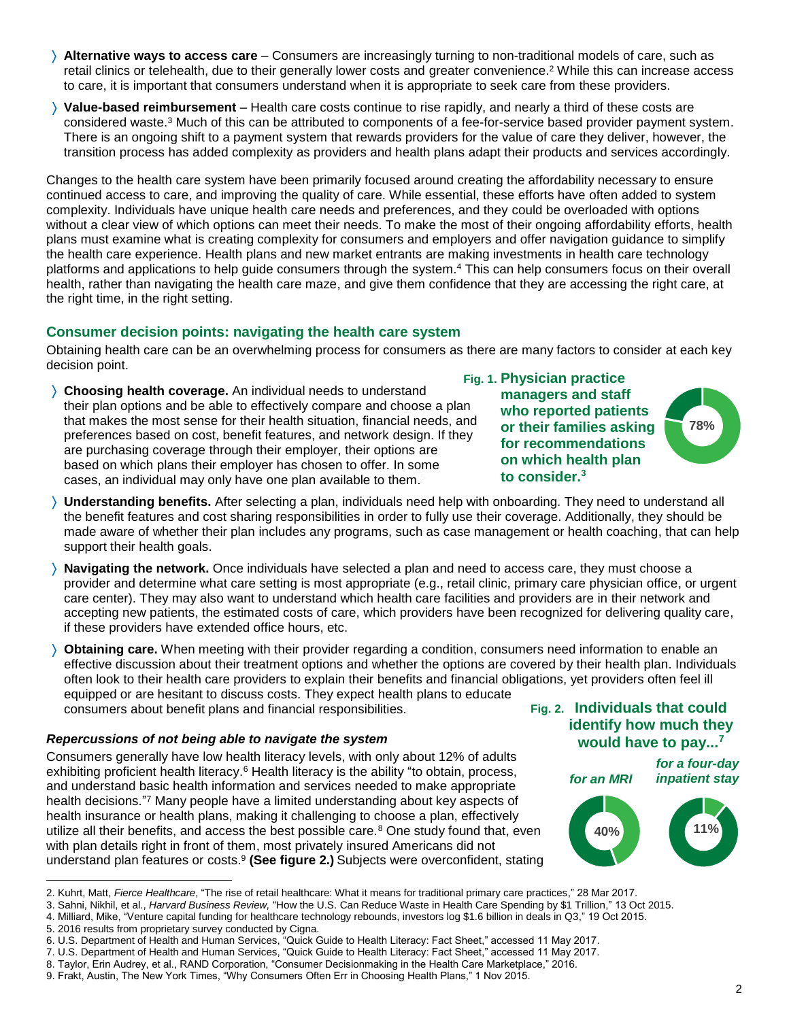- **Alternative ways to access care** Consumers are increasingly turning to non-traditional models of care, such as retail clinics or telehealth, due to their generally lower costs and greater convenience.<sup>2</sup> While this can increase access to care, it is important that consumers understand when it is appropriate to seek care from these providers.
- **Value-based reimbursement** Health care costs continue to rise rapidly, and nearly a third of these costs are considered waste. <sup>3</sup> Much of this can be attributed to components of a fee-for-service based provider payment system. There is an ongoing shift to a payment system that rewards providers for the value of care they deliver, however, the transition process has added complexity as providers and health plans adapt their products and services accordingly.

Changes to the health care system have been primarily focused around creating the affordability necessary to ensure continued access to care, and improving the quality of care. While essential, these efforts have often added to system complexity. Individuals have unique health care needs and preferences, and they could be overloaded with options without a clear view of which options can meet their needs. To make the most of their ongoing affordability efforts, health plans must examine what is creating complexity for consumers and employers and offer navigation guidance to simplify the health care experience. Health plans and new market entrants are making investments in health care technology platforms and applications to help guide consumers through the system. <sup>4</sup> This can help consumers focus on their overall health, rather than navigating the health care maze, and give them confidence that they are accessing the right care, at the right time, in the right setting.

# **Consumer decision points: navigating the health care system**

Obtaining health care can be an overwhelming process for consumers as there are many factors to consider at each key decision point.

- **Choosing health coverage.** An individual needs to understand their plan options and be able to effectively compare and choose a plan that makes the most sense for their health situation, financial needs, and preferences based on cost, benefit features, and network design. If they are purchasing coverage through their employer, their options are based on which plans their employer has chosen to offer. In some cases, an individual may only have one plan available to them. 5
- **Physician practice Fig. 1. managers and staff who reported patients or their families asking for recommendations on which health plan to consider.<sup>3</sup>**



- **Understanding benefits.** After selecting a plan, individuals need help with onboarding. They need to understand all the benefit features and cost sharing responsibilities in order to fully use their coverage. Additionally, they should be made aware of whether their plan includes any programs, such as case management or health coaching, that can help support their health goals.
- **Navigating the network.** Once individuals have selected a plan and need to access care, they must choose a provider and determine what care setting is most appropriate (e.g., retail clinic, primary care physician office, or urgent care center). They may also want to understand which health care facilities and providers are in their network and accepting new patients, the estimated costs of care, which providers have been recognized for delivering quality care, if these providers have extended office hours, etc.
- **Obtaining care.** When meeting with their provider regarding a condition, consumers need information to enable an effective discussion about their treatment options and whether the options are covered by their health plan. Individuals often look to their health care providers to explain their benefits and financial obligations, yet providers often feel ill equipped or are hesitant to discuss costs. They expect health plans to educate consumers about benefit plans and financial responsibilities.

#### *Repercussions of not being able to navigate the system*

Consumers generally have low health literacy levels, with only about 12% of adults exhibiting proficient health literacy.<sup>6</sup> Health literacy is the ability "to obtain, process, and understand basic health information and services needed to make appropriate health decisions." <sup>7</sup> Many people have a limited understanding about key aspects of health insurance or health plans, making it challenging to choose a plan, effectively utilize all their benefits, and access the best possible care. $8$  One study found that, even with plan details right in front of them, most privately insured Americans did not understand plan features or costs.<sup>9</sup> (See figure 2.) Subjects were overconfident, stating

# **Individuals that could Fig. 2. identify how much they would have to pay...<sup>7</sup>**

*for an MRI*

*for a four-day inpatient stay*



<sup>2.</sup> Kuhrt, Matt, *Fierce Healthcare*, "The rise of retail healthcare: What it means for traditional primary care practices," 28 Mar 2017.

l

<sup>3.</sup> Sahni, Nikhil, et al., *Harvard Business Review,* "How the U.S. Can Reduce Waste in Health Care Spending by \$1 Trillion," 13 Oct 2015.

<sup>4.</sup> Milliard, Mike, "Venture capital funding for healthcare technology rebounds, investors log \$1.6 billion in deals in Q3," 19 Oct 2015.

<sup>5.</sup> 2016 results from proprietary survey conducted by Cigna.

<sup>6.</sup> U.S. Department of Health and Human Services, "Quick Guide to Health Literacy: Fact Sheet," accessed 11 May 2017.

<sup>7.</sup> U.S. Department of Health and Human Services, "Quick Guide to Health Literacy: Fact Sheet," accessed 11 May 2017.

<sup>8.</sup> Taylor, Erin Audrey, et al., RAND Corporation, "Consumer Decisionmaking in the Health Care Marketplace," 2016.

<sup>9.</sup> Frakt, Austin, The New York Times, "Why Consumers Often Err in Choosing Health Plans," 1 Nov 2015.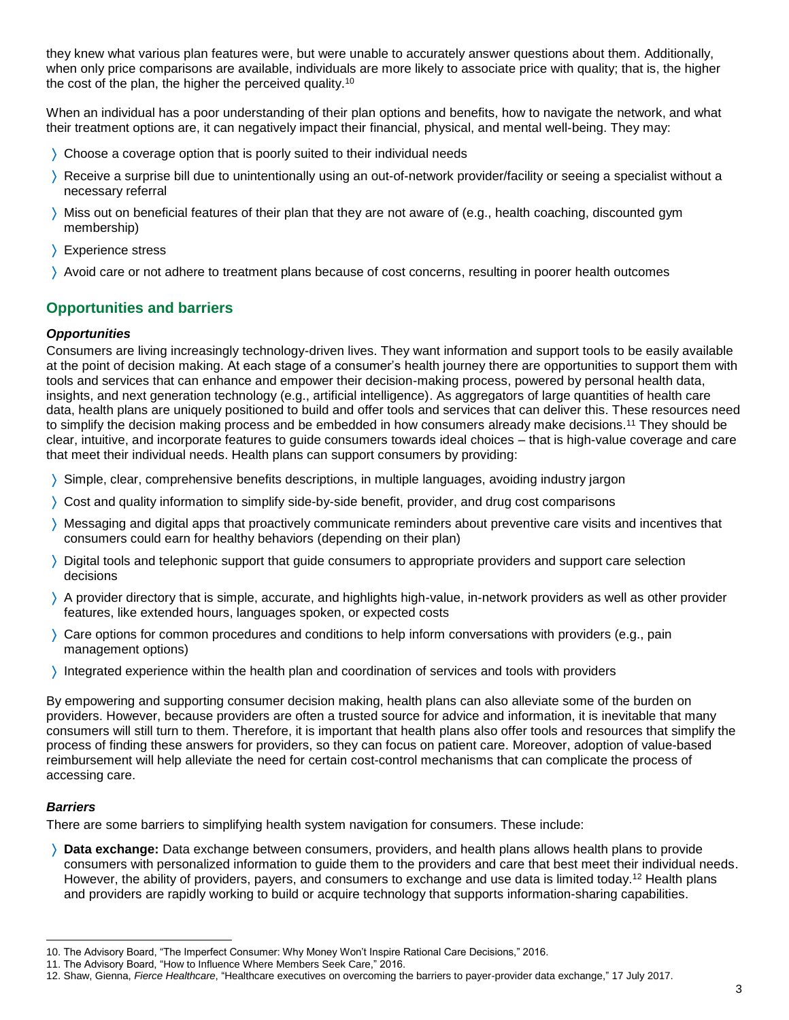they knew what various plan features were, but were unable to accurately answer questions about them. Additionally, when only price comparisons are available, individuals are more likely to associate price with quality; that is, the higher the cost of the plan, the higher the perceived quality.<sup>10</sup>

When an individual has a poor understanding of their plan options and benefits, how to navigate the network, and what their treatment options are, it can negatively impact their financial, physical, and mental well-being. They may:

- Choose a coverage option that is poorly suited to their individual needs
- Receive a surprise bill due to unintentionally using an out-of-network provider/facility or seeing a specialist without a necessary referral
- Miss out on beneficial features of their plan that they are not aware of (e.g., health coaching, discounted gym membership)
- > Experience stress
- Avoid care or not adhere to treatment plans because of cost concerns, resulting in poorer health outcomes

# **Opportunities and barriers**

#### *Opportunities*

Consumers are living increasingly technology-driven lives. They want information and support tools to be easily available at the point of decision making. At each stage of a consumer's health journey there are opportunities to support them with tools and services that can enhance and empower their decision-making process, powered by personal health data, insights, and next generation technology (e.g., artificial intelligence). As aggregators of large quantities of health care data, health plans are uniquely positioned to build and offer tools and services that can deliver this. These resources need to simplify the decision making process and be embedded in how consumers already make decisions. <sup>11</sup> They should be clear, intuitive, and incorporate features to guide consumers towards ideal choices – that is high-value coverage and care that meet their individual needs. Health plans can support consumers by providing:

- Simple, clear, comprehensive benefits descriptions, in multiple languages, avoiding industry jargon
- Cost and quality information to simplify side-by-side benefit, provider, and drug cost comparisons
- Messaging and digital apps that proactively communicate reminders about preventive care visits and incentives that consumers could earn for healthy behaviors (depending on their plan)
- Digital tools and telephonic support that guide consumers to appropriate providers and support care selection decisions
- A provider directory that is simple, accurate, and highlights high-value, in-network providers as well as other provider features, like extended hours, languages spoken, or expected costs
- Care options for common procedures and conditions to help inform conversations with providers (e.g., pain management options)
- Integrated experience within the health plan and coordination of services and tools with providers

By empowering and supporting consumer decision making, health plans can also alleviate some of the burden on providers. However, because providers are often a trusted source for advice and information, it is inevitable that many consumers will still turn to them. Therefore, it is important that health plans also offer tools and resources that simplify the process of finding these answers for providers, so they can focus on patient care. Moreover, adoption of value-based reimbursement will help alleviate the need for certain cost-control mechanisms that can complicate the process of accessing care.

#### *Barriers*

l

There are some barriers to simplifying health system navigation for consumers. These include:

 **Data exchange:** Data exchange between consumers, providers, and health plans allows health plans to provide consumers with personalized information to guide them to the providers and care that best meet their individual needs. However, the ability of providers, payers, and consumers to exchange and use data is limited today.<sup>12</sup> Health plans and providers are rapidly working to build or acquire technology that supports information-sharing capabilities.

<sup>10.</sup> The Advisory Board, "The Imperfect Consumer: Why Money Won't Inspire Rational Care Decisions," 2016.

<sup>11.</sup> The Advisory Board, "How to Influence Where Members Seek Care," 2016.

<sup>12.</sup> Shaw, Gienna, *Fierce Healthcare*, "Healthcare executives on overcoming the barriers to payer-provider data exchange," 17 July 2017.